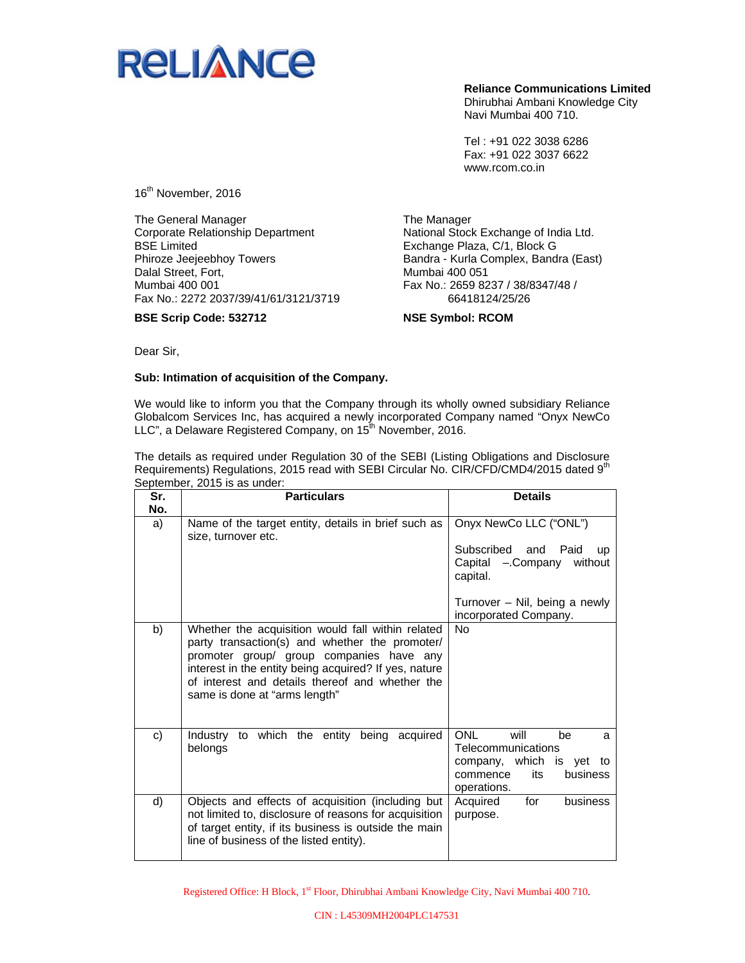

**Reliance Communications Limited**  Dhirubhai Ambani Knowledge City Navi Mumbai 400 710.

Tel : +91 022 3038 6286 Fax: +91 022 3037 6622 www.rcom.co.in

16<sup>th</sup> November, 2016

The General Manager Corporate Relationship Department BSE Limited Phiroze Jeejeebhoy Towers Dalal Street, Fort, Mumbai 400 001 Fax No.: 2272 2037/39/41/61/3121/3719

**BSE Scrip Code: 532712** 

The Manager National Stock Exchange of India Ltd. Exchange Plaza, C/1, Block G Bandra - Kurla Complex, Bandra (East) Mumbai 400 051 Fax No.: 2659 8237 / 38/8347/48 / 66418124/25/26

**NSE Symbol: RCOM** 

Dear Sir,

## **Sub: Intimation of acquisition of the Company.**

We would like to inform you that the Company through its wholly owned subsidiary Reliance Globalcom Services Inc, has acquired a newly incorporated Company named "Onyx NewCo LLC", a Delaware Registered Company, on 15<sup>th</sup> November, 2016.

The details as required under Regulation 30 of the SEBI (Listing Obligations and Disclosure Requirements) Regulations, 2015 read with SEBI Circular No. CIR/CFD/CMD4/2015 dated 9<sup>th</sup> September, 2015 is as under:

| Sr. | <b>Particulars</b>                                                                                                                                                                                                                                                                           | <b>Details</b>                                                                  |
|-----|----------------------------------------------------------------------------------------------------------------------------------------------------------------------------------------------------------------------------------------------------------------------------------------------|---------------------------------------------------------------------------------|
| No. |                                                                                                                                                                                                                                                                                              |                                                                                 |
| a)  | Name of the target entity, details in brief such as<br>size, turnover etc.                                                                                                                                                                                                                   | Onyx NewCo LLC ("ONL")                                                          |
|     |                                                                                                                                                                                                                                                                                              | Subscribed and<br>Paid<br><b>UD</b><br>Capital - Company without<br>capital.    |
|     |                                                                                                                                                                                                                                                                                              | Turnover – Nil, being a newly<br>incorporated Company.                          |
| b)  | Whether the acquisition would fall within related<br>party transaction(s) and whether the promoter/<br>promoter group/ group companies have any<br>interest in the entity being acquired? If yes, nature<br>of interest and details thereof and whether the<br>same is done at "arms length" | <b>No</b>                                                                       |
| c)  | Industry to which the entity being<br>acquired<br>belongs                                                                                                                                                                                                                                    | <b>ONL</b><br>will<br>be<br>a<br>Telecommunications<br>company, which is yet to |
|     |                                                                                                                                                                                                                                                                                              | its<br>business<br>commence<br>operations.                                      |
| d)  | Objects and effects of acquisition (including but<br>not limited to, disclosure of reasons for acquisition<br>of target entity, if its business is outside the main<br>line of business of the listed entity).                                                                               | for<br>business<br>Acquired<br>purpose.                                         |